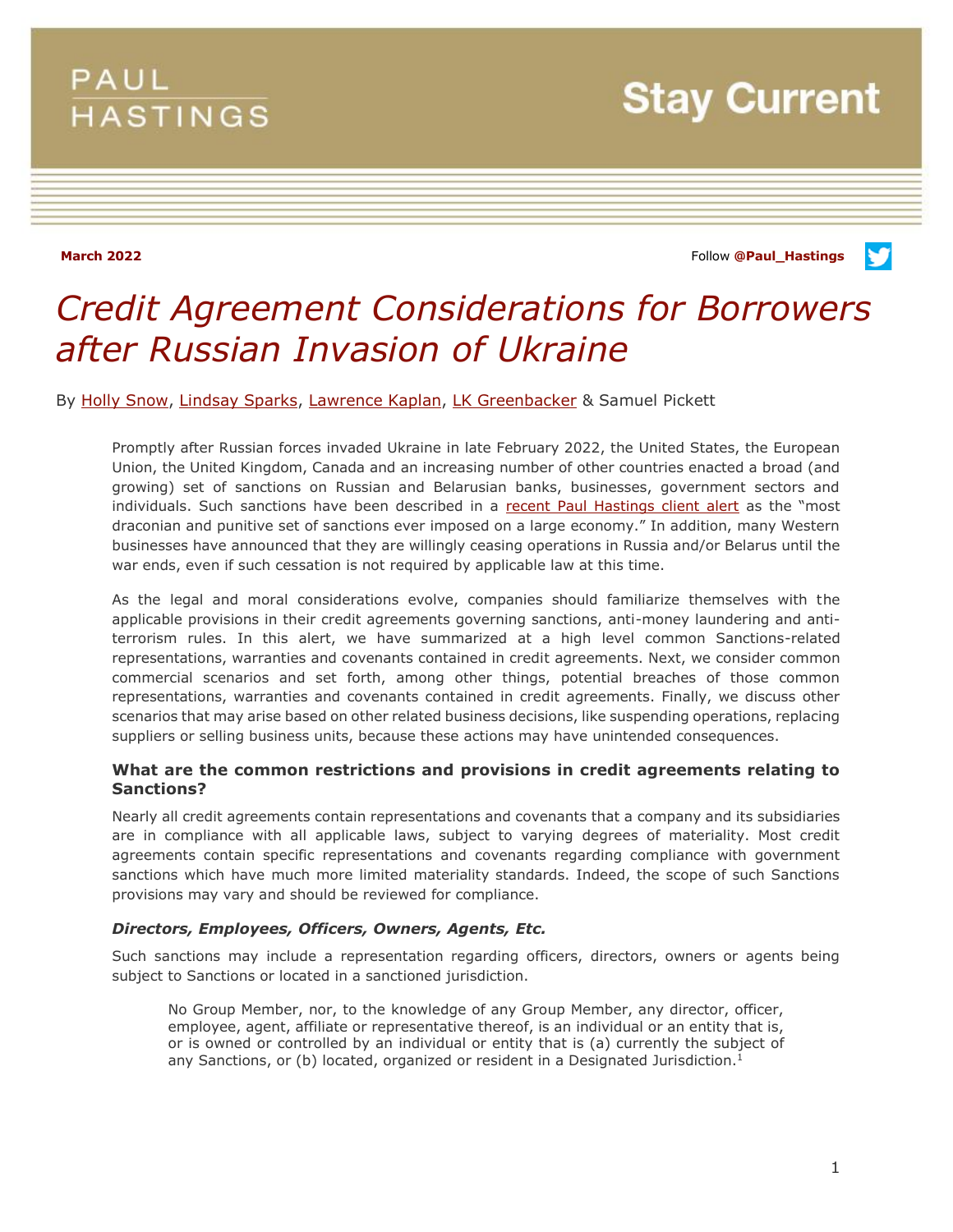# PAUL **HASTINGS**

**Stay Current** 

**March 2022** Follow **[@Paul\\_Hastings](http://twitter.com/Paul_Hastings)**



# *Credit Agreement Considerations for Borrowers after Russian Invasion of Ukraine*

By [Holly Snow,](https://www.paulhastings.com/professionals/hollysnow) [Lindsay Sparks,](https://www.paulhastings.com/professionals/lindsaysparks) [Lawrence Kaplan,](https://www.paulhastings.com/professionals/lawrencekaplan) [LK Greenbacker](https://www.paulhastings.com/professionals/lkgreenbacker) & Samuel Pickett

Promptly after Russian forces invaded Ukraine in late February 2022, the United States, the European Union, the United Kingdom, Canada and an increasing number of other countries enacted a broad (and growing) set of sanctions on Russian and Belarusian banks, businesses, government sectors and individuals. Such sanctions have been described in a [recent Paul Hastings client alert](https://www.paulhastings.com/insights/client-alerts/western-countries-enact-sweeping-sanctions-packages-in-response-to-invasion) as the "most draconian and punitive set of sanctions ever imposed on a large economy." In addition, many Western businesses have announced that they are willingly ceasing operations in Russia and/or Belarus until the war ends, even if such cessation is not required by applicable law at this time.

As the legal and moral considerations evolve, companies should familiarize themselves with the applicable provisions in their credit agreements governing sanctions, anti-money laundering and antiterrorism rules. In this alert, we have summarized at a high level common Sanctions-related representations, warranties and covenants contained in credit agreements. Next, we consider common commercial scenarios and set forth, among other things, potential breaches of those common representations, warranties and covenants contained in credit agreements. Finally, we discuss other scenarios that may arise based on other related business decisions, like suspending operations, replacing suppliers or selling business units, because these actions may have unintended consequences.

# **What are the common restrictions and provisions in credit agreements relating to Sanctions?**

Nearly all credit agreements contain representations and covenants that a company and its subsidiaries are in compliance with all applicable laws, subject to varying degrees of materiality. Most credit agreements contain specific representations and covenants regarding compliance with government sanctions which have much more limited materiality standards. Indeed, the scope of such Sanctions provisions may vary and should be reviewed for compliance.

#### *Directors, Employees, Officers, Owners, Agents, Etc.*

Such sanctions may include a representation regarding officers, directors, owners or agents being subject to Sanctions or located in a sanctioned jurisdiction.

No Group Member, nor, to the knowledge of any Group Member, any director, officer, employee, agent, affiliate or representative thereof, is an individual or an entity that is, or is owned or controlled by an individual or entity that is (a) currently the subject of any Sanctions, or (b) located, organized or resident in a Designated Jurisdiction.<sup>1</sup>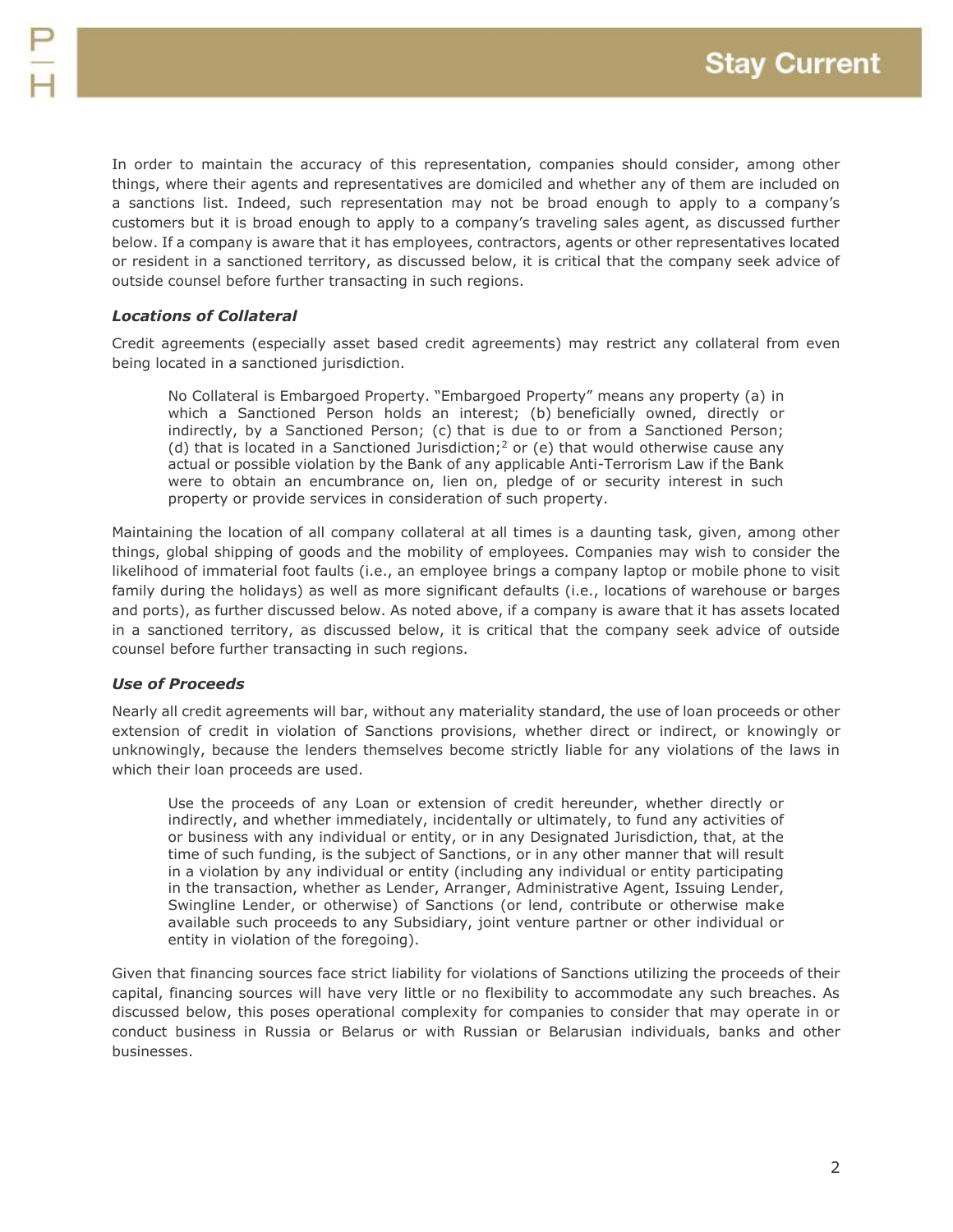In order to maintain the accuracy of this representation, companies should consider, among other things, where their agents and representatives are domiciled and whether any of them are included on a sanctions list. Indeed, such representation may not be broad enough to apply to a company's customers but it is broad enough to apply to a company's traveling sales agent, as discussed further below. If a company is aware that it has employees, contractors, agents or other representatives located or resident in a sanctioned territory, as discussed below, it is critical that the company seek advice of outside counsel before further transacting in such regions.

### *Locations of Collateral*

Credit agreements (especially asset based credit agreements) may restrict any collateral from even being located in a sanctioned jurisdiction.

No Collateral is Embargoed Property. "Embargoed Property" means any property (a) in which a Sanctioned Person holds an interest; (b) beneficially owned, directly or indirectly, by a Sanctioned Person; (c) that is due to or from a Sanctioned Person; (d) that is located in a Sanctioned Jurisdiction;<sup>2</sup> or (e) that would otherwise cause any actual or possible violation by the Bank of any applicable Anti-Terrorism Law if the Bank were to obtain an encumbrance on, lien on, pledge of or security interest in such property or provide services in consideration of such property.

Maintaining the location of all company collateral at all times is a daunting task, given, among other things, global shipping of goods and the mobility of employees. Companies may wish to consider the likelihood of immaterial foot faults (i.e., an employee brings a company laptop or mobile phone to visit family during the holidays) as well as more significant defaults (i.e., locations of warehouse or barges and ports), as further discussed below. As noted above, if a company is aware that it has assets located in a sanctioned territory, as discussed below, it is critical that the company seek advice of outside counsel before further transacting in such regions.

# *Use of Proceeds*

Nearly all credit agreements will bar, without any materiality standard, the use of loan proceeds or other extension of credit in violation of Sanctions provisions, whether direct or indirect, or knowingly or unknowingly, because the lenders themselves become strictly liable for any violations of the laws in which their loan proceeds are used.

Use the proceeds of any Loan or extension of credit hereunder, whether directly or indirectly, and whether immediately, incidentally or ultimately, to fund any activities of or business with any individual or entity, or in any Designated Jurisdiction, that, at the time of such funding, is the subject of Sanctions, or in any other manner that will result in a violation by any individual or entity (including any individual or entity participating in the transaction, whether as Lender, Arranger, Administrative Agent, Issuing Lender, Swingline Lender, or otherwise) of Sanctions (or lend, contribute or otherwise make available such proceeds to any Subsidiary, joint venture partner or other individual or entity in violation of the foregoing).

Given that financing sources face strict liability for violations of Sanctions utilizing the proceeds of their capital, financing sources will have very little or no flexibility to accommodate any such breaches. As discussed below, this poses operational complexity for companies to consider that may operate in or conduct business in Russia or Belarus or with Russian or Belarusian individuals, banks and other businesses.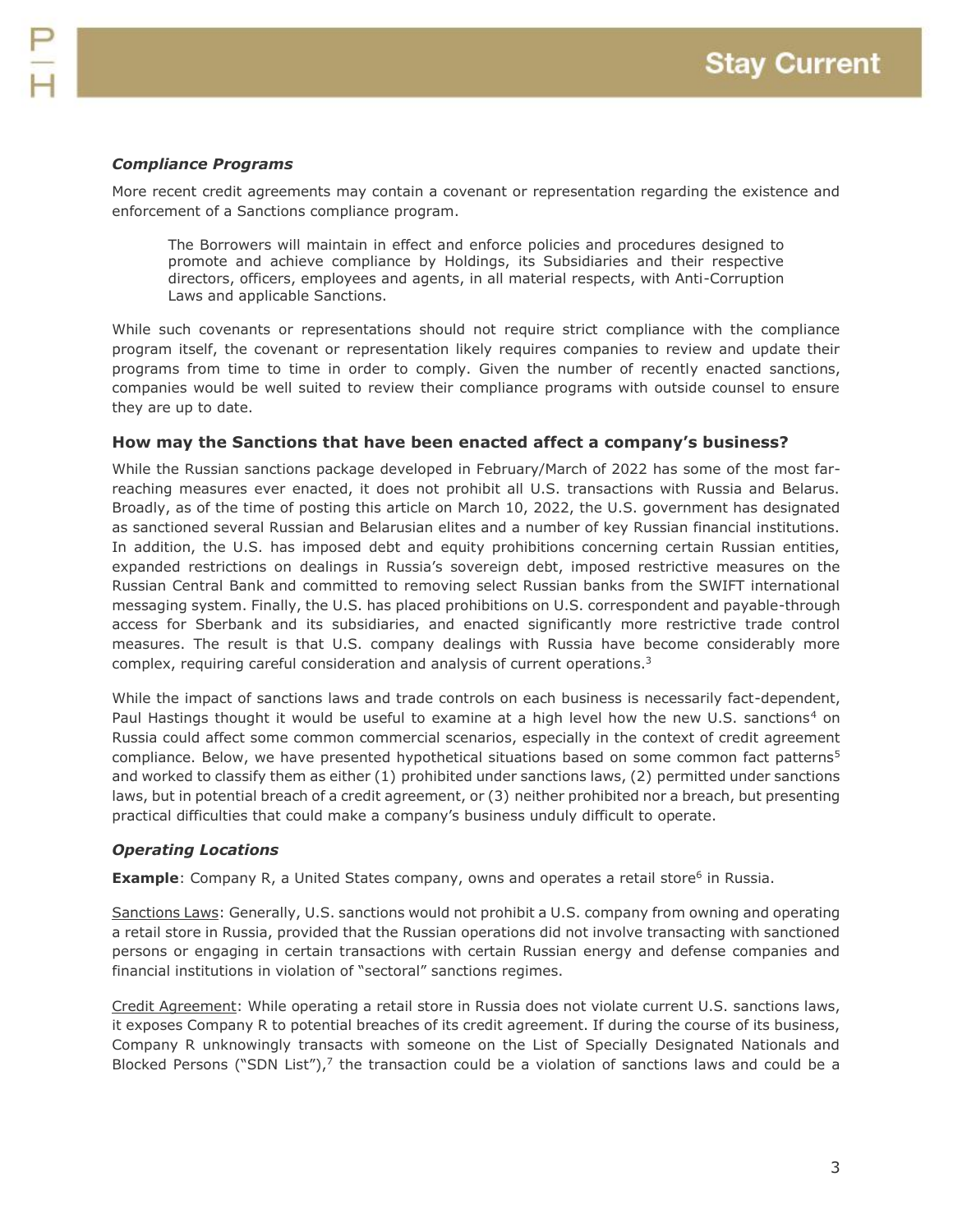### *Compliance Programs*

More recent credit agreements may contain a covenant or representation regarding the existence and enforcement of a Sanctions compliance program.

The Borrowers will maintain in effect and enforce policies and procedures designed to promote and achieve compliance by Holdings, its Subsidiaries and their respective directors, officers, employees and agents, in all material respects, with Anti-Corruption Laws and applicable Sanctions.

While such covenants or representations should not require strict compliance with the compliance program itself, the covenant or representation likely requires companies to review and update their programs from time to time in order to comply. Given the number of recently enacted sanctions, companies would be well suited to review their compliance programs with outside counsel to ensure they are up to date.

#### **How may the Sanctions that have been enacted affect a company's business?**

While the Russian sanctions package developed in February/March of 2022 has some of the most farreaching measures ever enacted, it does not prohibit all U.S. transactions with Russia and Belarus. Broadly, as of the time of posting this article on March 10, 2022, the U.S. government has designated as sanctioned several Russian and Belarusian elites and a number of key Russian financial institutions. In addition, the U.S. has imposed debt and equity prohibitions concerning certain Russian entities, expanded restrictions on dealings in Russia's sovereign debt, imposed restrictive measures on the Russian Central Bank and committed to removing select Russian banks from the SWIFT international messaging system. Finally, the U.S. has placed prohibitions on U.S. correspondent and payable-through access for Sberbank and its subsidiaries, and enacted significantly more restrictive trade control measures. The result is that U.S. company dealings with Russia have become considerably more complex, requiring careful consideration and analysis of current operations.<sup>3</sup>

While the impact of sanctions laws and trade controls on each business is necessarily fact-dependent, Paul Hastings thought it would be useful to examine at a high level how the new U.S. sanctions<sup>4</sup> on Russia could affect some common commercial scenarios, especially in the context of credit agreement compliance. Below, we have presented hypothetical situations based on some common fact patterns<sup>5</sup> and worked to classify them as either (1) prohibited under sanctions laws, (2) permitted under sanctions laws, but in potential breach of a credit agreement, or (3) neither prohibited nor a breach, but presenting practical difficulties that could make a company's business unduly difficult to operate.

#### *Operating Locations*

**Example**: Company R, a United States company, owns and operates a retail store<sup>6</sup> in Russia.

Sanctions Laws: Generally, U.S. sanctions would not prohibit a U.S. company from owning and operating a retail store in Russia, provided that the Russian operations did not involve transacting with sanctioned persons or engaging in certain transactions with certain Russian energy and defense companies and financial institutions in violation of "sectoral" sanctions regimes.

Credit Agreement: While operating a retail store in Russia does not violate current U.S. sanctions laws, it exposes Company R to potential breaches of its credit agreement. If during the course of its business, Company R unknowingly transacts with someone on the List of Specially Designated Nationals and Blocked Persons ("SDN List"),<sup>7</sup> the transaction could be a violation of sanctions laws and could be a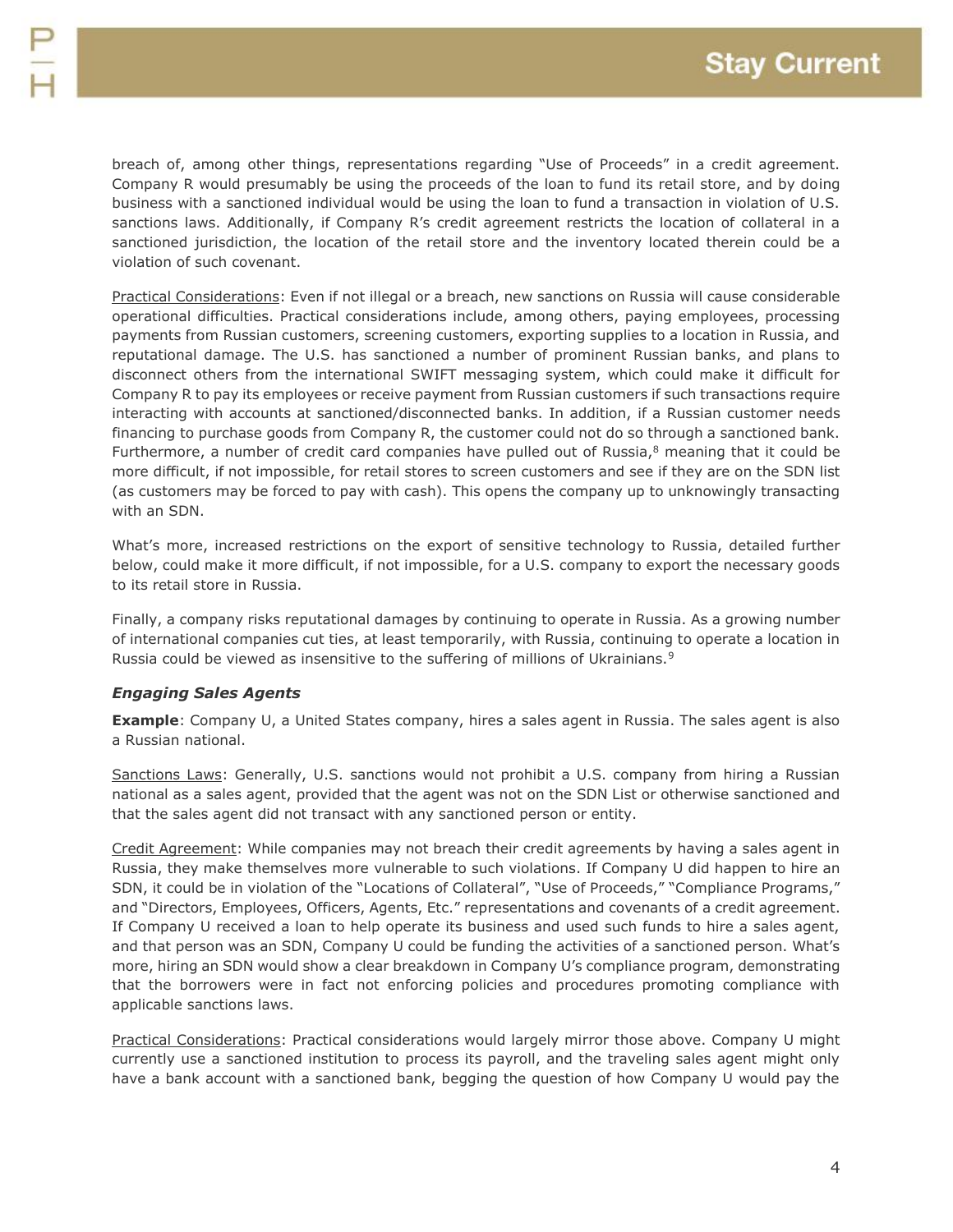breach of, among other things, representations regarding "Use of Proceeds" in a credit agreement. Company R would presumably be using the proceeds of the loan to fund its retail store, and by doing business with a sanctioned individual would be using the loan to fund a transaction in violation of U.S. sanctions laws. Additionally, if Company R's credit agreement restricts the location of collateral in a sanctioned jurisdiction, the location of the retail store and the inventory located therein could be a violation of such covenant.

Practical Considerations: Even if not illegal or a breach, new sanctions on Russia will cause considerable operational difficulties. Practical considerations include, among others, paying employees, processing payments from Russian customers, screening customers, exporting supplies to a location in Russia, and reputational damage. The U.S. has sanctioned a number of prominent Russian banks, and plans to disconnect others from the international SWIFT messaging system, which could make it difficult for Company R to pay its employees or receive payment from Russian customers if such transactions require interacting with accounts at sanctioned/disconnected banks. In addition, if a Russian customer needs financing to purchase goods from Company R, the customer could not do so through a sanctioned bank. Furthermore, a number of credit card companies have pulled out of Russia, $8$  meaning that it could be more difficult, if not impossible, for retail stores to screen customers and see if they are on the SDN list (as customers may be forced to pay with cash). This opens the company up to unknowingly transacting with an SDN.

What's more, increased restrictions on the export of sensitive technology to Russia, detailed further below, could make it more difficult, if not impossible, for a U.S. company to export the necessary goods to its retail store in Russia.

Finally, a company risks reputational damages by continuing to operate in Russia. As a growing number of international companies cut ties, at least temporarily, with Russia, continuing to operate a location in Russia could be viewed as insensitive to the suffering of millions of Ukrainians.<sup>9</sup>

# *Engaging Sales Agents*

**Example**: Company U, a United States company, hires a sales agent in Russia. The sales agent is also a Russian national.

Sanctions Laws: Generally, U.S. sanctions would not prohibit a U.S. company from hiring a Russian national as a sales agent, provided that the agent was not on the SDN List or otherwise sanctioned and that the sales agent did not transact with any sanctioned person or entity.

Credit Agreement: While companies may not breach their credit agreements by having a sales agent in Russia, they make themselves more vulnerable to such violations. If Company U did happen to hire an SDN, it could be in violation of the "Locations of Collateral", "Use of Proceeds," "Compliance Programs," and "Directors, Employees, Officers, Agents, Etc." representations and covenants of a credit agreement. If Company U received a loan to help operate its business and used such funds to hire a sales agent, and that person was an SDN, Company U could be funding the activities of a sanctioned person. What's more, hiring an SDN would show a clear breakdown in Company U's compliance program, demonstrating that the borrowers were in fact not enforcing policies and procedures promoting compliance with applicable sanctions laws.

Practical Considerations: Practical considerations would largely mirror those above. Company U might currently use a sanctioned institution to process its payroll, and the traveling sales agent might only have a bank account with a sanctioned bank, begging the question of how Company U would pay the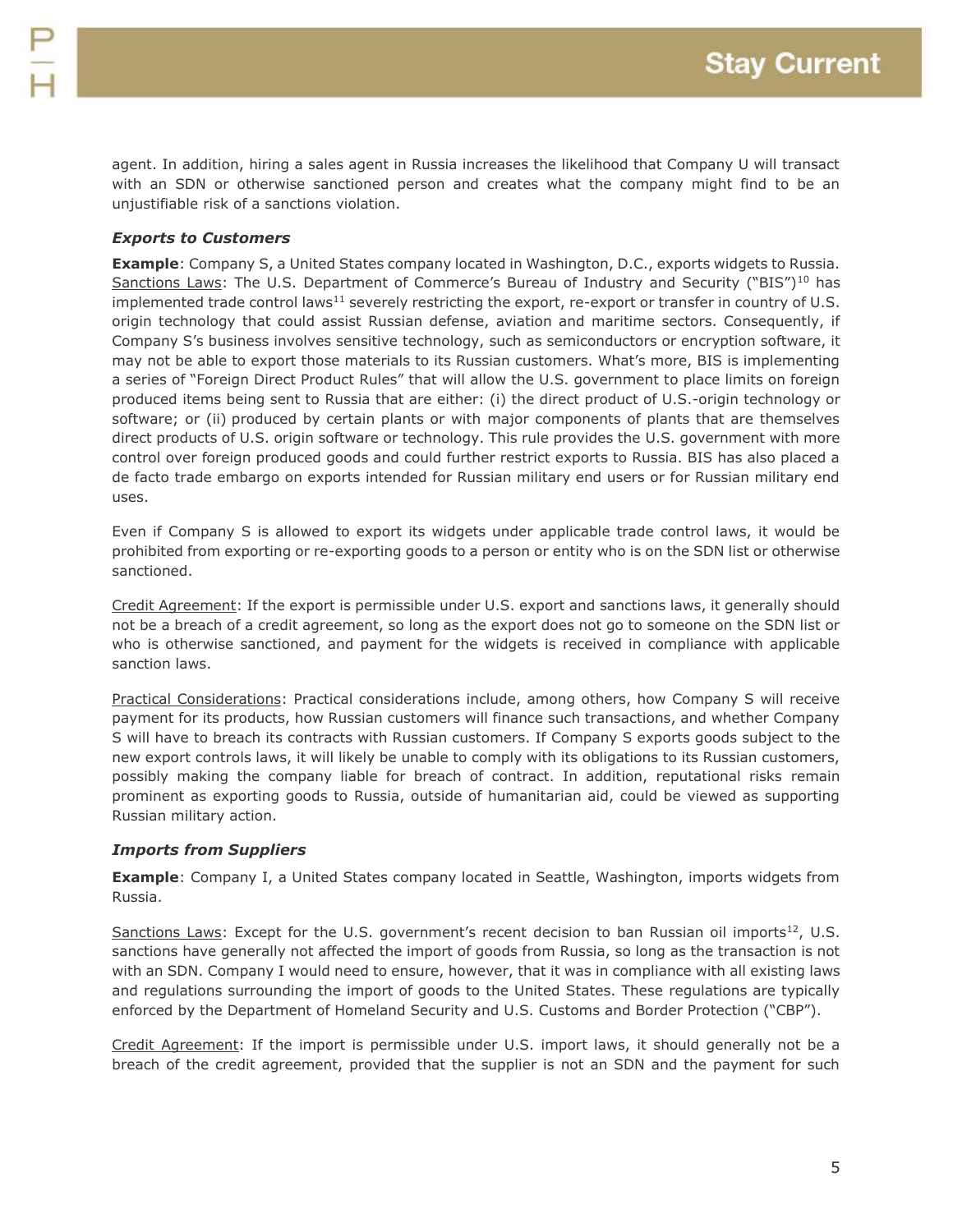agent. In addition, hiring a sales agent in Russia increases the likelihood that Company U will transact with an SDN or otherwise sanctioned person and creates what the company might find to be an unjustifiable risk of a sanctions violation.

# *Exports to Customers*

**Example**: Company S, a United States company located in Washington, D.C., exports widgets to Russia. Sanctions Laws: The U.S. Department of Commerce's Bureau of Industry and Security ("BIS")<sup>10</sup> has implemented trade control laws<sup>11</sup> severely restricting the export, re-export or transfer in country of U.S. origin technology that could assist Russian defense, aviation and maritime sectors. Consequently, if Company S's business involves sensitive technology, such as semiconductors or encryption software, it may not be able to export those materials to its Russian customers. What's more, BIS is implementing a series of "Foreign Direct Product Rules" that will allow the U.S. government to place limits on foreign produced items being sent to Russia that are either: (i) the direct product of U.S.-origin technology or software; or (ii) produced by certain plants or with major components of plants that are themselves direct products of U.S. origin software or technology. This rule provides the U.S. government with more control over foreign produced goods and could further restrict exports to Russia. BIS has also placed a de facto trade embargo on exports intended for Russian military end users or for Russian military end uses.

Even if Company S is allowed to export its widgets under applicable trade control laws, it would be prohibited from exporting or re-exporting goods to a person or entity who is on the SDN list or otherwise sanctioned.

Credit Agreement: If the export is permissible under U.S. export and sanctions laws, it generally should not be a breach of a credit agreement, so long as the export does not go to someone on the SDN list or who is otherwise sanctioned, and payment for the widgets is received in compliance with applicable sanction laws.

Practical Considerations: Practical considerations include, among others, how Company S will receive payment for its products, how Russian customers will finance such transactions, and whether Company S will have to breach its contracts with Russian customers. If Company S exports goods subject to the new export controls laws, it will likely be unable to comply with its obligations to its Russian customers, possibly making the company liable for breach of contract. In addition, reputational risks remain prominent as exporting goods to Russia, outside of humanitarian aid, could be viewed as supporting Russian military action.

# *Imports from Suppliers*

**Example**: Company I, a United States company located in Seattle, Washington, imports widgets from Russia.

Sanctions Laws: Except for the U.S. government's recent decision to ban Russian oil imports $^{12}$ , U.S. sanctions have generally not affected the import of goods from Russia, so long as the transaction is not with an SDN. Company I would need to ensure, however, that it was in compliance with all existing laws and regulations surrounding the import of goods to the United States. These regulations are typically enforced by the Department of Homeland Security and U.S. Customs and Border Protection ("CBP").

Credit Agreement: If the import is permissible under U.S. import laws, it should generally not be a breach of the credit agreement, provided that the supplier is not an SDN and the payment for such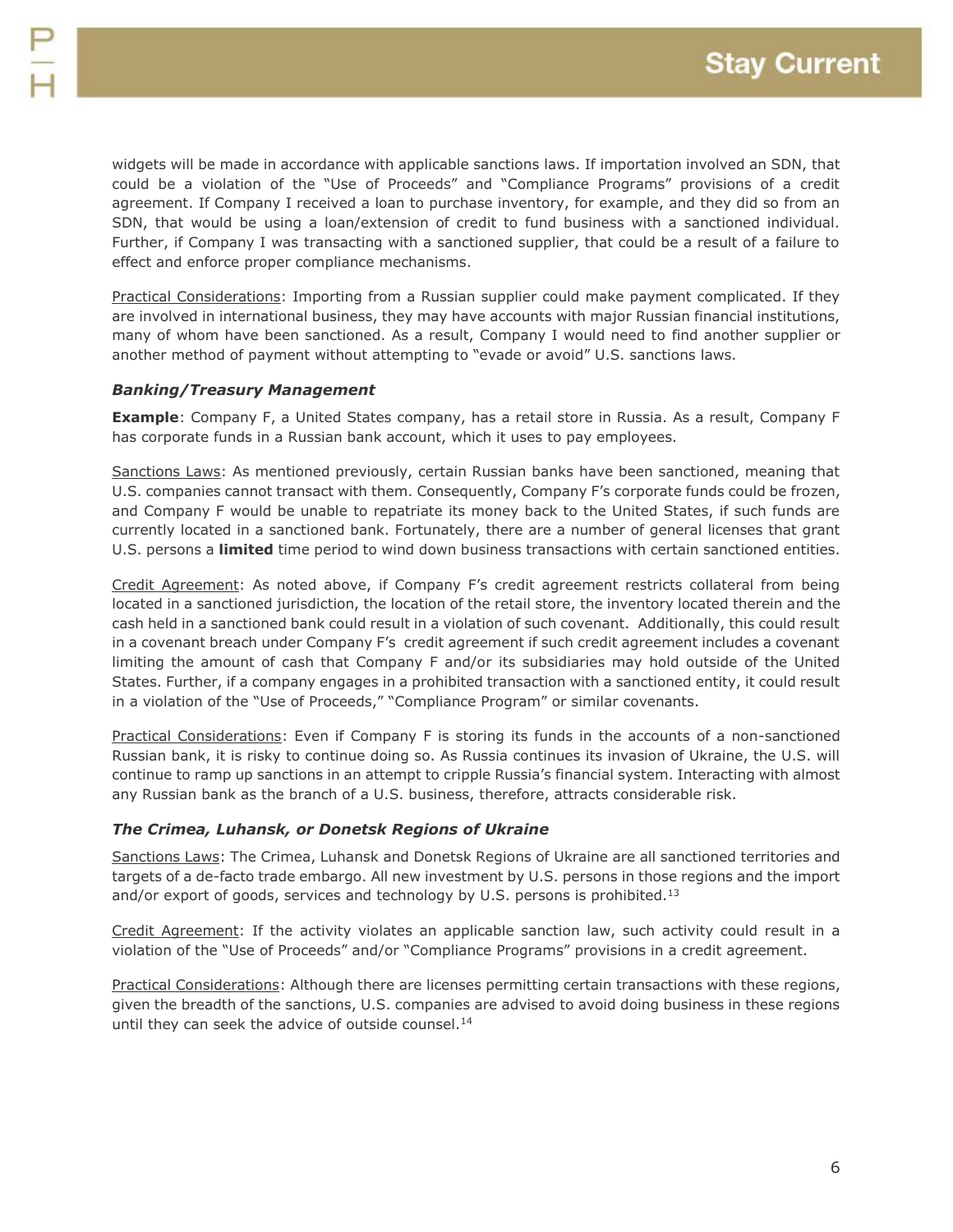widgets will be made in accordance with applicable sanctions laws. If importation involved an SDN, that could be a violation of the "Use of Proceeds" and "Compliance Programs" provisions of a credit agreement. If Company I received a loan to purchase inventory, for example, and they did so from an SDN, that would be using a loan/extension of credit to fund business with a sanctioned individual. Further, if Company I was transacting with a sanctioned supplier, that could be a result of a failure to effect and enforce proper compliance mechanisms.

Practical Considerations: Importing from a Russian supplier could make payment complicated. If they are involved in international business, they may have accounts with major Russian financial institutions, many of whom have been sanctioned. As a result, Company I would need to find another supplier or another method of payment without attempting to "evade or avoid" U.S. sanctions laws.

# *Banking/Treasury Management*

**Example**: Company F, a United States company, has a retail store in Russia. As a result, Company F has corporate funds in a Russian bank account, which it uses to pay employees.

Sanctions Laws: As mentioned previously, certain Russian banks have been sanctioned, meaning that U.S. companies cannot transact with them. Consequently, Company F's corporate funds could be frozen, and Company F would be unable to repatriate its money back to the United States, if such funds are currently located in a sanctioned bank. Fortunately, there are a number of general licenses that grant U.S. persons a **limited** time period to wind down business transactions with certain sanctioned entities.

Credit Agreement: As noted above, if Company F's credit agreement restricts collateral from being located in a sanctioned jurisdiction, the location of the retail store, the inventory located therein and the cash held in a sanctioned bank could result in a violation of such covenant. Additionally, this could result in a covenant breach under Company F's credit agreement if such credit agreement includes a covenant limiting the amount of cash that Company F and/or its subsidiaries may hold outside of the United States. Further, if a company engages in a prohibited transaction with a sanctioned entity, it could result in a violation of the "Use of Proceeds," "Compliance Program" or similar covenants.

Practical Considerations: Even if Company F is storing its funds in the accounts of a non-sanctioned Russian bank, it is risky to continue doing so. As Russia continues its invasion of Ukraine, the U.S. will continue to ramp up sanctions in an attempt to cripple Russia's financial system. Interacting with almost any Russian bank as the branch of a U.S. business, therefore, attracts considerable risk.

#### *The Crimea, Luhansk, or Donetsk Regions of Ukraine*

Sanctions Laws: The Crimea, Luhansk and Donetsk Regions of Ukraine are all sanctioned territories and targets of a de-facto trade embargo. All new investment by U.S. persons in those regions and the import and/or export of goods, services and technology by U.S. persons is prohibited.<sup>13</sup>

Credit Agreement: If the activity violates an applicable sanction law, such activity could result in a violation of the "Use of Proceeds" and/or "Compliance Programs" provisions in a credit agreement.

Practical Considerations: Although there are licenses permitting certain transactions with these regions, given the breadth of the sanctions, U.S. companies are advised to avoid doing business in these regions until they can seek the advice of outside counsel.<sup>14</sup>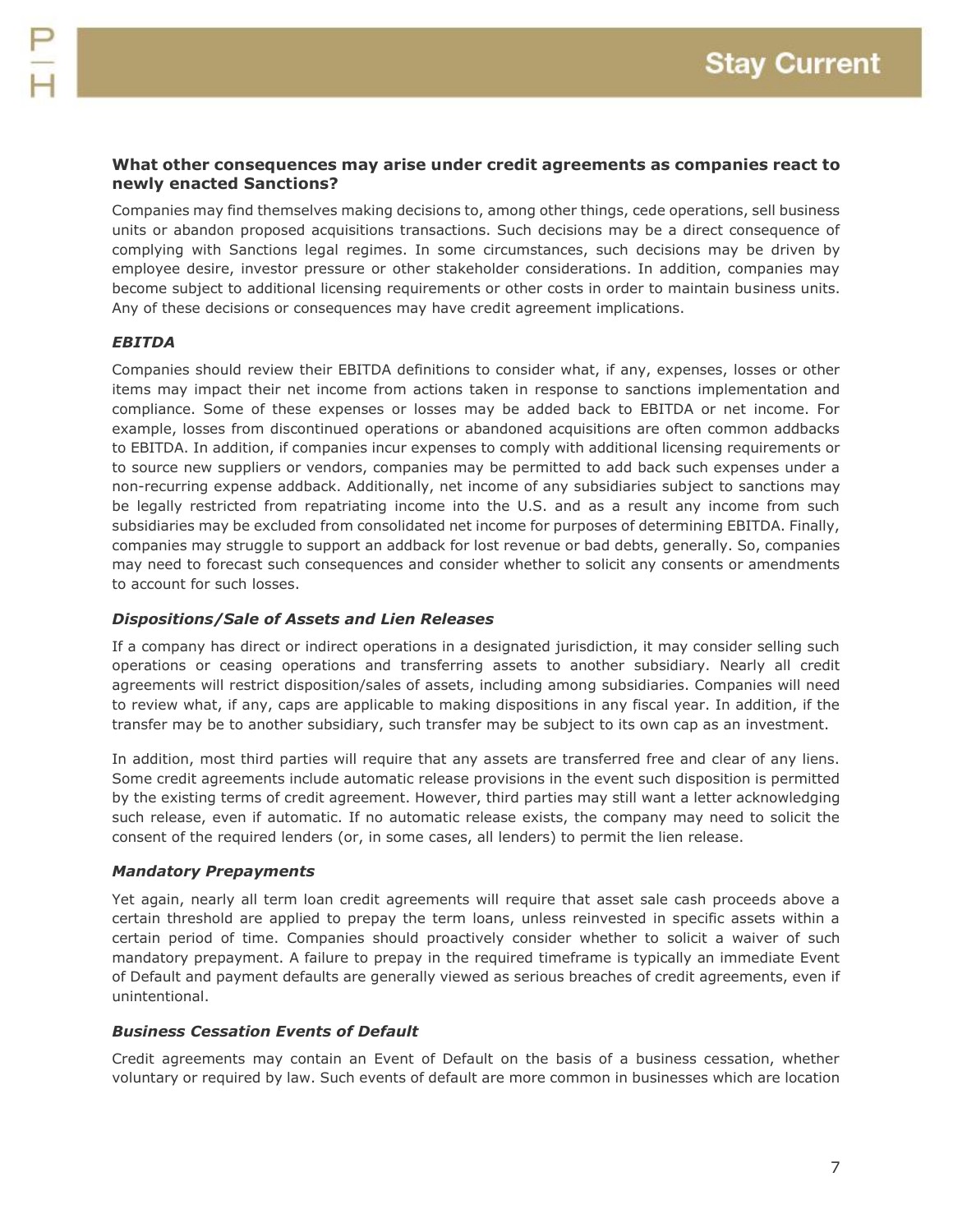### **What other consequences may arise under credit agreements as companies react to newly enacted Sanctions?**

Companies may find themselves making decisions to, among other things, cede operations, sell business units or abandon proposed acquisitions transactions. Such decisions may be a direct consequence of complying with Sanctions legal regimes. In some circumstances, such decisions may be driven by employee desire, investor pressure or other stakeholder considerations. In addition, companies may become subject to additional licensing requirements or other costs in order to maintain business units. Any of these decisions or consequences may have credit agreement implications.

### *EBITDA*

Companies should review their EBITDA definitions to consider what, if any, expenses, losses or other items may impact their net income from actions taken in response to sanctions implementation and compliance. Some of these expenses or losses may be added back to EBITDA or net income. For example, losses from discontinued operations or abandoned acquisitions are often common addbacks to EBITDA. In addition, if companies incur expenses to comply with additional licensing requirements or to source new suppliers or vendors, companies may be permitted to add back such expenses under a non-recurring expense addback. Additionally, net income of any subsidiaries subject to sanctions may be legally restricted from repatriating income into the U.S. and as a result any income from such subsidiaries may be excluded from consolidated net income for purposes of determining EBITDA. Finally, companies may struggle to support an addback for lost revenue or bad debts, generally. So, companies may need to forecast such consequences and consider whether to solicit any consents or amendments to account for such losses.

#### *Dispositions/Sale of Assets and Lien Releases*

If a company has direct or indirect operations in a designated jurisdiction, it may consider selling such operations or ceasing operations and transferring assets to another subsidiary. Nearly all credit agreements will restrict disposition/sales of assets, including among subsidiaries. Companies will need to review what, if any, caps are applicable to making dispositions in any fiscal year. In addition, if the transfer may be to another subsidiary, such transfer may be subject to its own cap as an investment.

In addition, most third parties will require that any assets are transferred free and clear of any liens. Some credit agreements include automatic release provisions in the event such disposition is permitted by the existing terms of credit agreement. However, third parties may still want a letter acknowledging such release, even if automatic. If no automatic release exists, the company may need to solicit the consent of the required lenders (or, in some cases, all lenders) to permit the lien release.

#### *Mandatory Prepayments*

Yet again, nearly all term loan credit agreements will require that asset sale cash proceeds above a certain threshold are applied to prepay the term loans, unless reinvested in specific assets within a certain period of time. Companies should proactively consider whether to solicit a waiver of such mandatory prepayment. A failure to prepay in the required timeframe is typically an immediate Event of Default and payment defaults are generally viewed as serious breaches of credit agreements, even if unintentional.

#### *Business Cessation Events of Default*

Credit agreements may contain an Event of Default on the basis of a business cessation, whether voluntary or required by law. Such events of default are more common in businesses which are location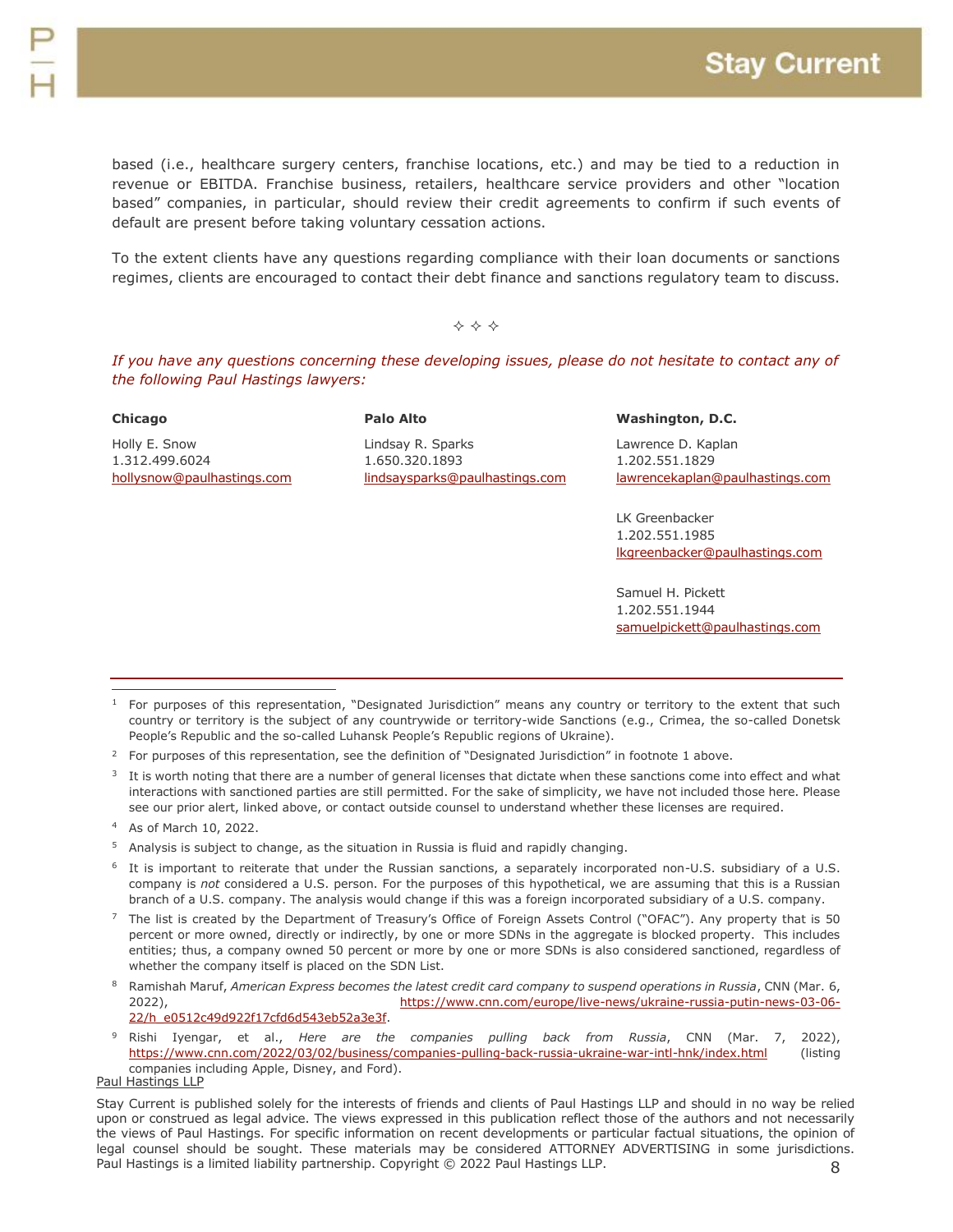based (i.e., healthcare surgery centers, franchise locations, etc.) and may be tied to a reduction in revenue or EBITDA. Franchise business, retailers, healthcare service providers and other "location based" companies, in particular, should review their credit agreements to confirm if such events of default are present before taking voluntary cessation actions.

To the extent clients have any questions regarding compliance with their loan documents or sanctions regimes, clients are encouraged to contact their debt finance and sanctions regulatory team to discuss.

## $\Leftrightarrow$   $\Leftrightarrow$   $\Leftrightarrow$

*If you have any questions concerning these developing issues, please do not hesitate to contact any of the following Paul Hastings lawyers:*

| Chicago                    | <b>Palo Alto</b>               | Washington, D.C.                |
|----------------------------|--------------------------------|---------------------------------|
| Holly E. Snow              | Lindsay R. Sparks              | Lawrence D. Kaplan              |
| 1.312.499.6024             | 1.650.320.1893                 | 1.202.551.1829                  |
| hollysnow@paulhastings.com | lindsaysparks@paulhastings.com | lawrencekaplan@paulhastings.com |
|                            |                                | LK Greenbacker                  |
|                            |                                | 1.202.551.1985                  |
|                            |                                | Ikgreenbacker@paulhastings.com  |
|                            |                                | Samuel H. Pickett               |
|                            |                                | 1.202.551.1944                  |
|                            |                                | samuelpickett@paulhastings.com  |

- <sup>2</sup> For purposes of this representation, see the definition of "Designated Jurisdiction" in footnote 1 above.
- $3$  It is worth noting that there are a number of general licenses that dictate when these sanctions come into effect and what interactions with sanctioned parties are still permitted. For the sake of simplicity, we have not included those here. Please see our prior alert, linked above, or contact outside counsel to understand whether these licenses are required.
- <sup>4</sup> As of March 10, 2022.

 $\overline{a}$ 

- <sup>5</sup> Analysis is subject to change, as the situation in Russia is fluid and rapidly changing.
- <sup>6</sup> It is important to reiterate that under the Russian sanctions, a separately incorporated non-U.S. subsidiary of a U.S. company is *not* considered a U.S. person. For the purposes of this hypothetical, we are assuming that this is a Russian branch of a U.S. company. The analysis would change if this was a foreign incorporated subsidiary of a U.S. company.
- $7$  The list is created by the Department of Treasury's Office of Foreign Assets Control ("OFAC"). Any property that is 50 percent or more owned, directly or indirectly, by one or more SDNs in the aggregate is blocked property. This includes entities; thus, a company owned 50 percent or more by one or more SDNs is also considered sanctioned, regardless of whether the company itself is placed on the SDN List.
- <sup>8</sup> Ramishah Maruf, *American Express becomes the latest credit card company to suspend operations in Russia*, CNN (Mar. 6, 2022), [https://www.cnn.com/europe/live-news/ukraine-russia-putin-news-03-06-](https://www.cnn.com/europe/live-news/ukraine-russia-putin-news-03-06-22/h_e0512c49d922f17cfd6d543eb52a3e3f) [22/h\\_e0512c49d922f17cfd6d543eb52a3e3f.](https://www.cnn.com/europe/live-news/ukraine-russia-putin-news-03-06-22/h_e0512c49d922f17cfd6d543eb52a3e3f)
- <sup>9</sup> Rishi Iyengar, et al., *Here are the companies pulling back from Russia*, CNN (Mar. 7, 2022), <https://www.cnn.com/2022/03/02/business/companies-pulling-back-russia-ukraine-war-intl-hnk/index.html> (listing companies including Apple, Disney, and Ford).

#### Paul Hastings LLP

<sup>1</sup> For purposes of this representation, "Designated Jurisdiction" means any country or territory to the extent that such country or territory is the subject of any countrywide or territory-wide Sanctions (e.g., Crimea, the so-called Donetsk People's Republic and the so-called Luhansk People's Republic regions of Ukraine).

<sup>8</sup> Stay Current is published solely for the interests of friends and clients of Paul Hastings LLP and should in no way be relied upon or construed as legal advice. The views expressed in this publication reflect those of the authors and not necessarily the views of Paul Hastings. For specific information on recent developments or particular factual situations, the opinion of legal counsel should be sought. These materials may be considered ATTORNEY ADVERTISING in some jurisdictions. Paul Hastings is a limited liability partnership. Copyright © 2022 Paul Hastings LLP.